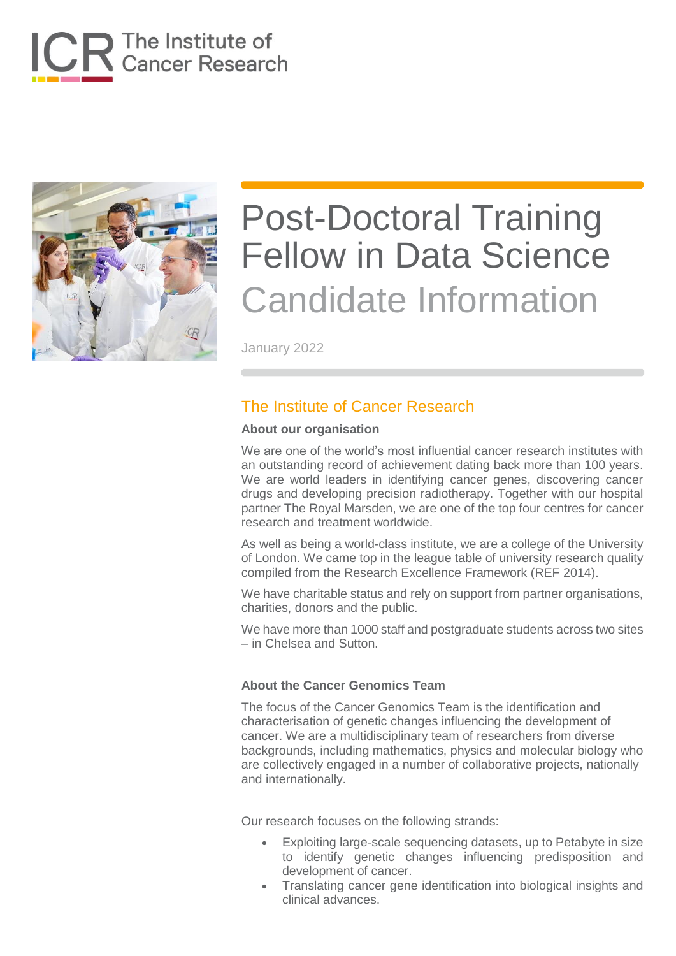



January 2022

## The Institute of Cancer Research

#### **About our organisation**

We are one of the world's most influential cancer research institutes with an outstanding record of achievement dating back more than 100 years. We are world leaders in identifying cancer genes, discovering cancer drugs and developing precision radiotherapy. Together with our hospital partner The Royal Marsden, we are one of the top four centres for cancer research and treatment worldwide.

As well as being a world-class institute, we are a college of the University of London. We came top in the league table of university research quality compiled from the Research Excellence Framework (REF 2014).

We have charitable status and rely on support from partner organisations, charities, donors and the public.

We have more than 1000 staff and postgraduate students across two sites – in Chelsea and Sutton.

#### **About the Cancer Genomics Team**

The focus of the Cancer Genomics Team is the identification and characterisation of genetic changes influencing the development of cancer. We are a multidisciplinary team of researchers from diverse backgrounds, including mathematics, physics and molecular biology who are collectively engaged in a number of collaborative projects, nationally and internationally.

Our research focuses on the following strands:

- Exploiting large-scale sequencing datasets, up to Petabyte in size to identify genetic changes influencing predisposition and development of cancer.
- Translating cancer gene identification into biological insights and clinical advances.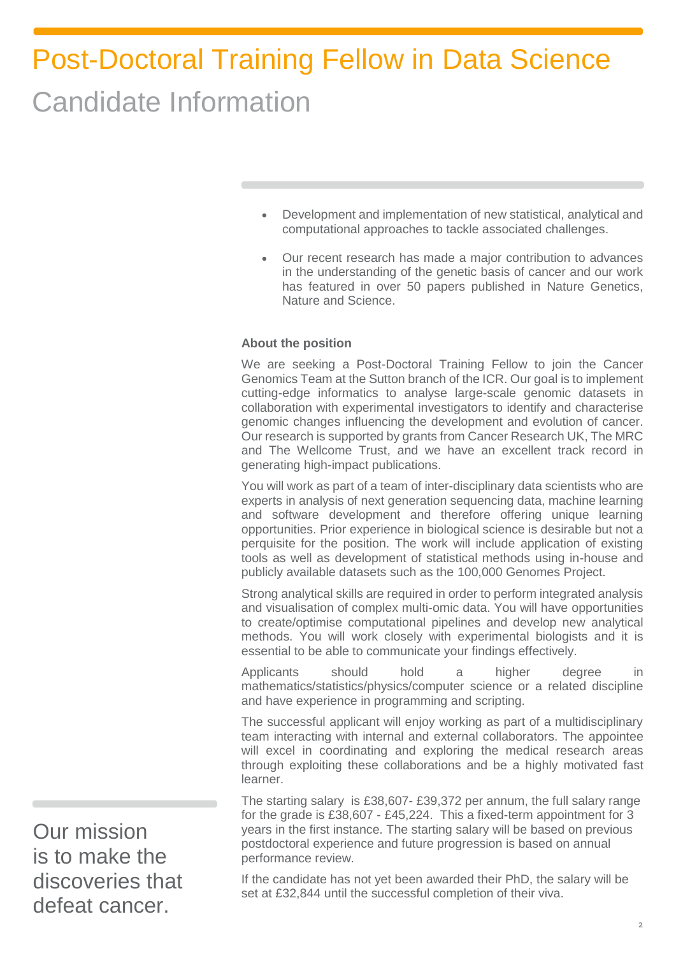- Development and implementation of new statistical, analytical and computational approaches to tackle associated challenges.
- Our recent research has made a major contribution to advances in the understanding of the genetic basis of cancer and our work has featured in over 50 papers published in Nature Genetics, Nature and Science.

#### **About the position**

We are seeking a Post-Doctoral Training Fellow to join the Cancer Genomics Team at the Sutton branch of the ICR. Our goal is to implement cutting-edge informatics to analyse large-scale genomic datasets in collaboration with experimental investigators to identify and characterise genomic changes influencing the development and evolution of cancer. Our research is supported by grants from Cancer Research UK, The MRC and The Wellcome Trust, and we have an excellent track record in generating high-impact publications.

You will work as part of a team of inter-disciplinary data scientists who are experts in analysis of next generation sequencing data, machine learning and software development and therefore offering unique learning opportunities. Prior experience in biological science is desirable but not a perquisite for the position. The work will include application of existing tools as well as development of statistical methods using in-house and publicly available datasets such as the [100,000 Genomes Project.](https://www.genomicsengland.co.uk/about-genomics-england/the-100000-genomes-project/)

Strong analytical skills are required in order to perform integrated analysis and visualisation of complex multi-omic data. You will have opportunities to create/optimise computational pipelines and develop new analytical methods. You will work closely with experimental biologists and it is essential to be able to communicate your findings effectively.

Applicants should hold a higher degree in mathematics/statistics/physics/computer science or a related discipline and have experience in programming and scripting.

The successful applicant will enjoy working as part of a multidisciplinary team interacting with internal and external collaborators. The appointee will excel in coordinating and exploring the medical research areas through exploiting these collaborations and be a highly motivated fast learner.

The starting salary is £38,607- £39,372 per annum, the full salary range for the grade is £38,607 - £45,224. This a fixed-term appointment for 3 years in the first instance. The starting salary will be based on previous postdoctoral experience and future progression is based on annual performance review.

If the candidate has not yet been awarded their PhD, the salary will be set at £32,844 until the successful completion of their viva.

Our mission is to make the discoveries that defeat cancer.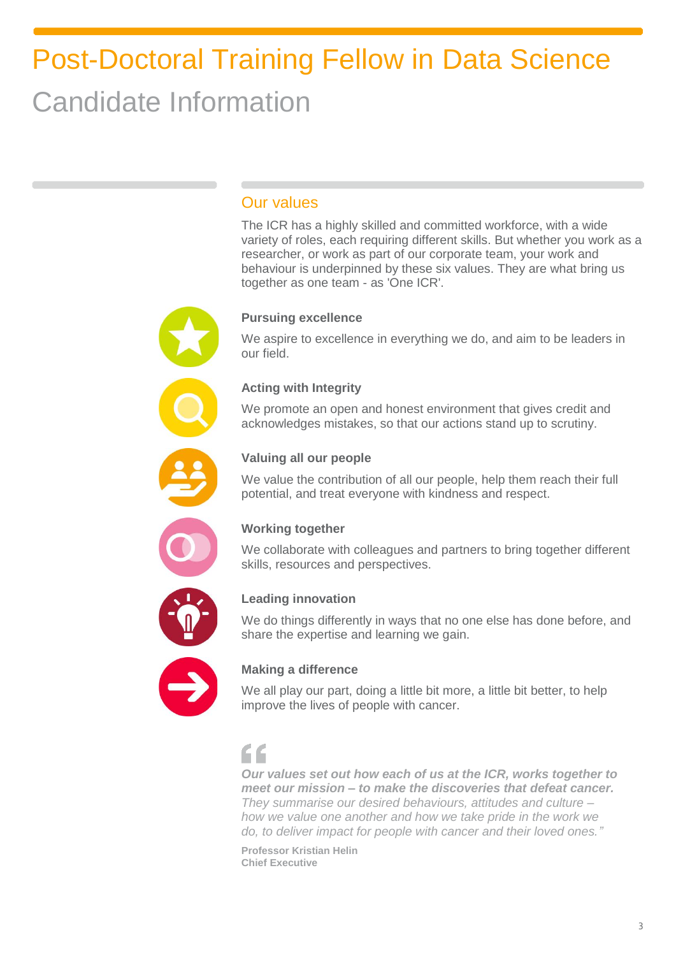## Our values

The ICR has a highly skilled and committed workforce, with a wide variety of roles, each requiring different skills. But whether you work as a researcher, or work as part of our corporate team, your work and behaviour is underpinned by these six values. They are what bring us together as one team - as 'One ICR'.

### **Pursuing excellence**

We aspire to excellence in everything we do, and aim to be leaders in our field.

### **Acting with Integrity**

We promote an open and honest environment that gives credit and acknowledges mistakes, so that our actions stand up to scrutiny.



### **Valuing all our people**

We value the contribution of all our people, help them reach their full potential, and treat everyone with kindness and respect.



### **Working together**

We collaborate with colleagues and partners to bring together different skills, resources and perspectives.



### **Leading innovation**

We do things differently in ways that no one else has done before, and share the expertise and learning we gain.



### **Making a difference**

We all play our part, doing a little bit more, a little bit better, to help improve the lives of people with cancer.

## $\epsilon$

*Our values set out how each of us at the ICR, works together to meet our mission – to make the discoveries that defeat cancer. They summarise our desired behaviours, attitudes and culture – how we value one another and how we take pride in the work we do, to deliver impact for people with cancer and their loved ones."*

**Professor Kristian Helin Chief Executive**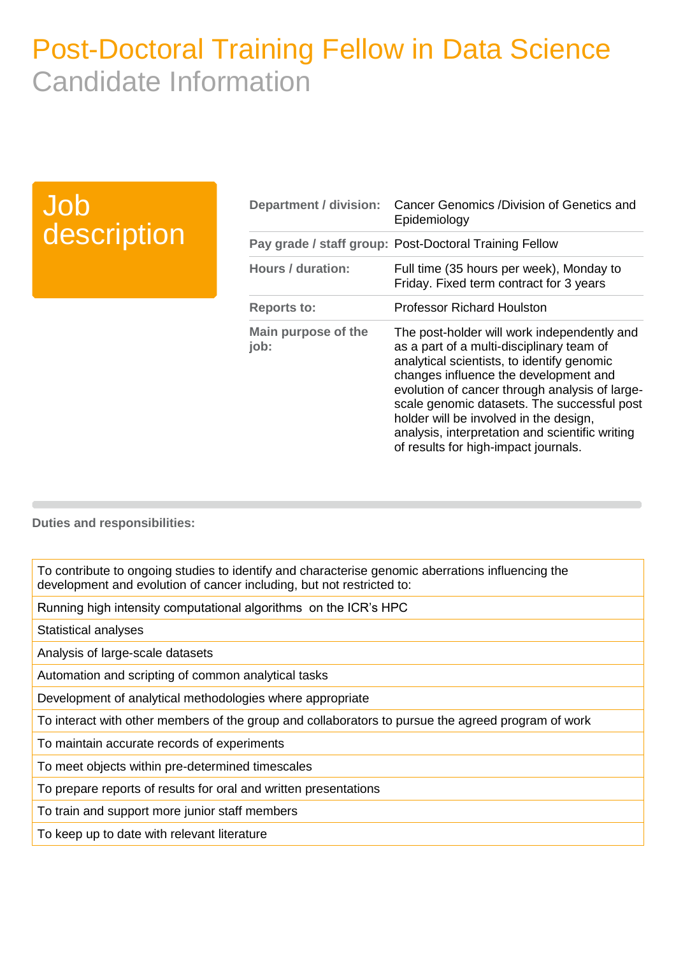## Job description

| <b>Department / division:</b> | Cancer Genomics /Division of Genetics and<br>Epidemiology                                                                                                                                                                                                                                                                                                                                                             |
|-------------------------------|-----------------------------------------------------------------------------------------------------------------------------------------------------------------------------------------------------------------------------------------------------------------------------------------------------------------------------------------------------------------------------------------------------------------------|
|                               | Pay grade / staff group: Post-Doctoral Training Fellow                                                                                                                                                                                                                                                                                                                                                                |
| Hours / duration:             | Full time (35 hours per week), Monday to<br>Friday. Fixed term contract for 3 years                                                                                                                                                                                                                                                                                                                                   |
| <b>Reports to:</b>            | <b>Professor Richard Houlston</b>                                                                                                                                                                                                                                                                                                                                                                                     |
| Main purpose of the<br>job:   | The post-holder will work independently and<br>as a part of a multi-disciplinary team of<br>analytical scientists, to identify genomic<br>changes influence the development and<br>evolution of cancer through analysis of large-<br>scale genomic datasets. The successful post<br>holder will be involved in the design,<br>analysis, interpretation and scientific writing<br>of results for high-impact journals. |

**Duties and responsibilities:**

To contribute to ongoing studies to identify and characterise genomic aberrations influencing the development and evolution of cancer including, but not restricted to:

Running high intensity computational algorithms on the ICR's HPC

Statistical analyses

Analysis of large-scale datasets

Automation and scripting of common analytical tasks

Development of analytical methodologies where appropriate

To interact with other members of the group and collaborators to pursue the agreed program of work

To maintain accurate records of experiments

To meet objects within pre-determined timescales

To prepare reports of results for oral and written presentations

To train and support more junior staff members

To keep up to date with relevant literature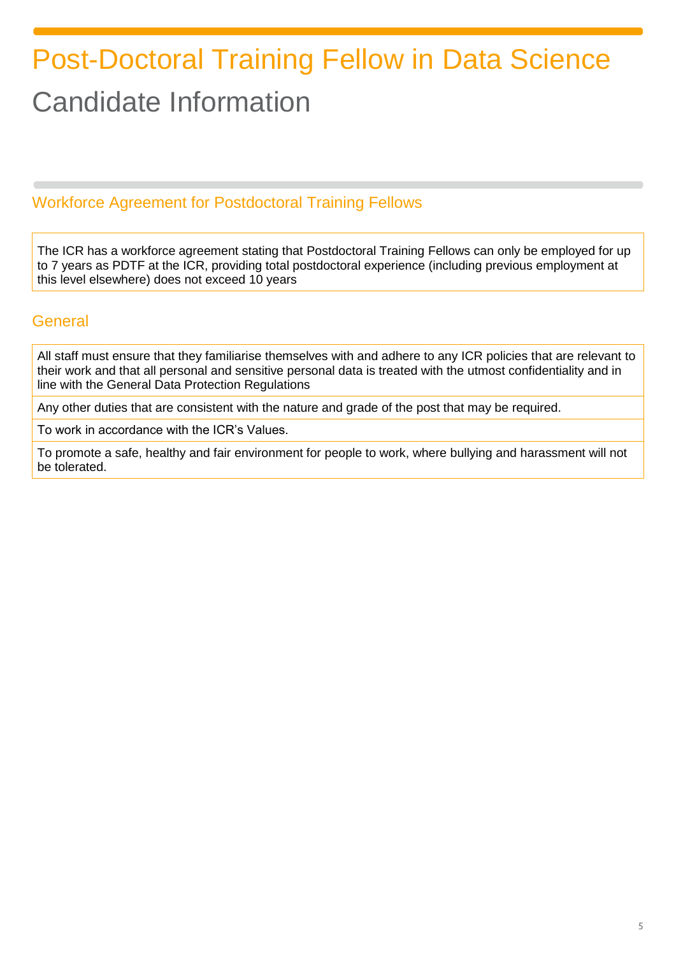## Workforce Agreement for Postdoctoral Training Fellows

The ICR has a workforce agreement stating that Postdoctoral Training Fellows can only be employed for up to 7 years as PDTF at the ICR, providing total postdoctoral experience (including previous employment at this level elsewhere) does not exceed 10 years

### **General**

All staff must ensure that they familiarise themselves with and adhere to any ICR policies that are relevant to their work and that all personal and sensitive personal data is treated with the utmost confidentiality and in line with the General Data Protection Regulations

Any other duties that are consistent with the nature and grade of the post that may be required.

To work in accordance with the ICR's Values.

To promote a safe, healthy and fair environment for people to work, where bullying and harassment will not be tolerated.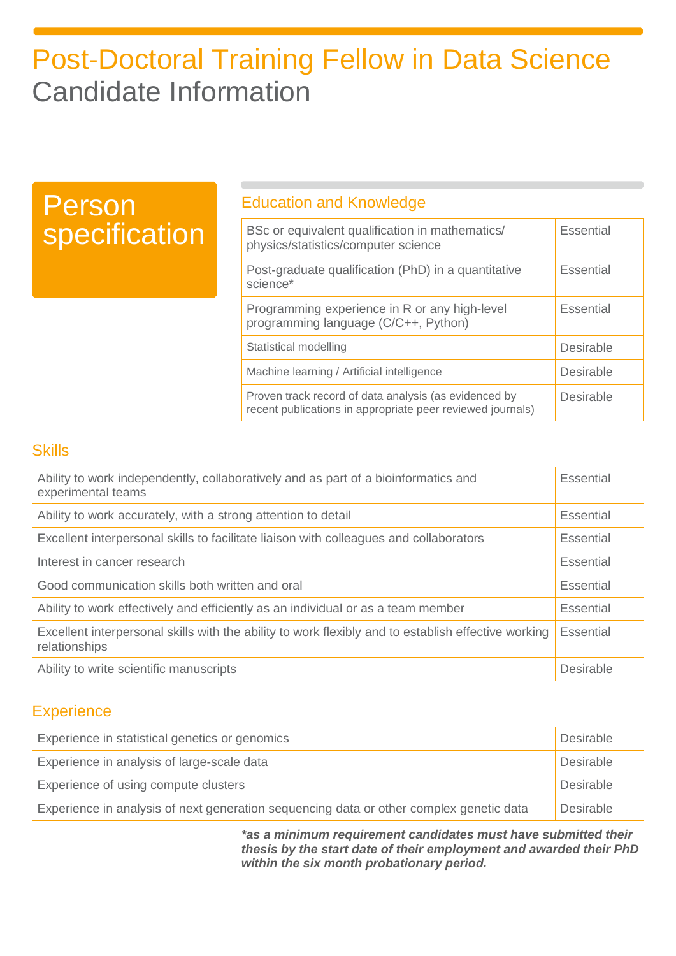# Person specification

### Education and Knowledge

| BSc or equivalent qualification in mathematics/<br>physics/statistics/computer science                              | Essential |
|---------------------------------------------------------------------------------------------------------------------|-----------|
| Post-graduate qualification (PhD) in a quantitative<br>science*                                                     | Essential |
| Programming experience in R or any high-level<br>programming language (C/C++, Python)                               | Essential |
| Statistical modelling                                                                                               | Desirable |
| Machine learning / Artificial intelligence                                                                          | Desirable |
| Proven track record of data analysis (as evidenced by<br>recent publications in appropriate peer reviewed journals) | Desirable |

### **Skills**

| Ability to work independently, collaboratively and as part of a bioinformatics and<br>experimental teams             | Essential |
|----------------------------------------------------------------------------------------------------------------------|-----------|
| Ability to work accurately, with a strong attention to detail                                                        | Essential |
| Excellent interpersonal skills to facilitate liaison with colleagues and collaborators                               |           |
| Interest in cancer research                                                                                          |           |
| Good communication skills both written and oral                                                                      |           |
| Ability to work effectively and efficiently as an individual or as a team member                                     |           |
| Excellent interpersonal skills with the ability to work flexibly and to establish effective working<br>relationships |           |
| Ability to write scientific manuscripts                                                                              | Desirable |

### **Experience**

| Experience in statistical genetics or genomics<br><b>Desirable</b>                      |                  |
|-----------------------------------------------------------------------------------------|------------------|
| Experience in analysis of large-scale data                                              | Desirable        |
| Experience of using compute clusters                                                    | <b>Desirable</b> |
| Experience in analysis of next generation sequencing data or other complex genetic data | <b>Desirable</b> |

*\*as a minimum requirement candidates must have submitted their thesis by the start date of their employment and awarded their PhD within the six month probationary period.*